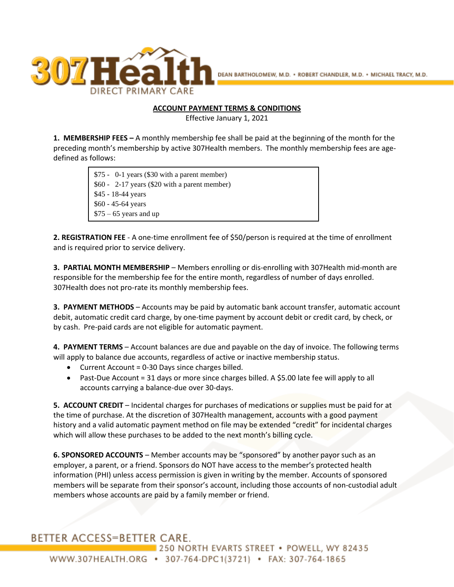

## **ACCOUNT PAYMENT TERMS & CONDITIONS**

Effective January 1, 2021

**1. MEMBERSHIP FEES –** A monthly membership fee shall be paid at the beginning of the month for the preceding month's membership by active 307Health members. The monthly membership fees are agedefined as follows:

> \$75 - 0-1 years (\$30 with a parent member) \$60 - 2-17 years (\$20 with a parent member) \$45 - 18-44 years \$60 - 45-64 years  $$75 - 65$  years and up

**2. REGISTRATION FEE** - A one-time enrollment fee of \$50/person is required at the time of enrollment and is required prior to service delivery.

**3. PARTIAL MONTH MEMBERSHIP** – Members enrolling or dis-enrolling with 307Health mid-month are responsible for the membership fee for the entire month, regardless of number of days enrolled. 307Health does not pro-rate its monthly membership fees.

**3. PAYMENT METHODS** – Accounts may be paid by automatic bank account transfer, automatic account debit, automatic credit card charge, by one-time payment by account debit or credit card, by check, or by cash. Pre-paid cards are not eligible for automatic payment.

**4. PAYMENT TERMS** – Account balances are due and payable on the day of invoice. The following terms will apply to balance due accounts, regardless of active or inactive membership status.

- Current Account = 0-30 Days since charges billed.
- Past-Due Account = 31 days or more since charges billed. A \$5.00 late fee will apply to all accounts carrying a balance-due over 30-days.

**5. ACCOUNT CREDIT** – Incidental charges for purchases of medications or supplies must be paid for at the time of purchase. At the discretion of 307Health management, accounts with a good payment history and a valid automatic payment method on file may be extended "credit" for incidental charges which will allow these purchases to be added to the next month's billing cycle.

**6. SPONSORED ACCOUNTS** – Member accounts may be "sponsored" by another payor such as an employer, a parent, or a friend. Sponsors do NOT have access to the member's protected health information (PHI) unless access permission is given in writing by the member. Accounts of sponsored members will be separate from their sponsor's account, including those accounts of non-custodial adult members whose accounts are paid by a family member or friend.

## BETTER ACCESS=BETTER CARE.

250 NORTH EVARTS STREET • POWELL, WY 82435 WWW.307HEALTH.ORG • 307-764-DPC1(3721) • FAX: 307-764-1865